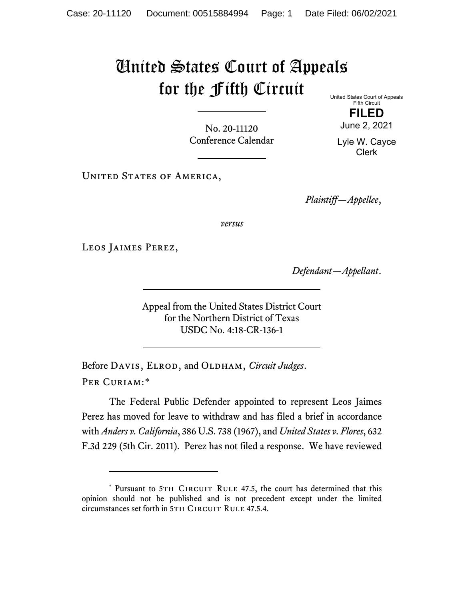## United States Court of Appeals for the Fifth Circuit

No. 20-11120 Conference Calendar United States Court of Appeals Fifth Circuit

**FILED** June 2, 2021

Lyle W. Cayce Clerk

UNITED STATES OF AMERICA,

*Plaintiff—Appellee*,

*versus*

Leos Jaimes Perez,

*Defendant—Appellant*.

Appeal from the United States District Court for the Northern District of Texas USDC No. 4:18-CR-136-1

Before DAVIS, ELROD, and OLDHAM, *Circuit Judges*. Per Curiam:[\\*](#page-0-0)

The Federal Public Defender appointed to represent Leos Jaimes Perez has moved for leave to withdraw and has filed a brief in accordance with *Anders v. California*, 386 U.S. 738 (1967), and *United States v. Flores*, 632 F.3d 229 (5th Cir. 2011). Perez has not filed a response. We have reviewed

<span id="page-0-0"></span><sup>\*</sup> Pursuant to 5TH CIRCUIT RULE 47.5, the court has determined that this opinion should not be published and is not precedent except under the limited circumstances set forth in 5TH CIRCUIT RULE 47.5.4.